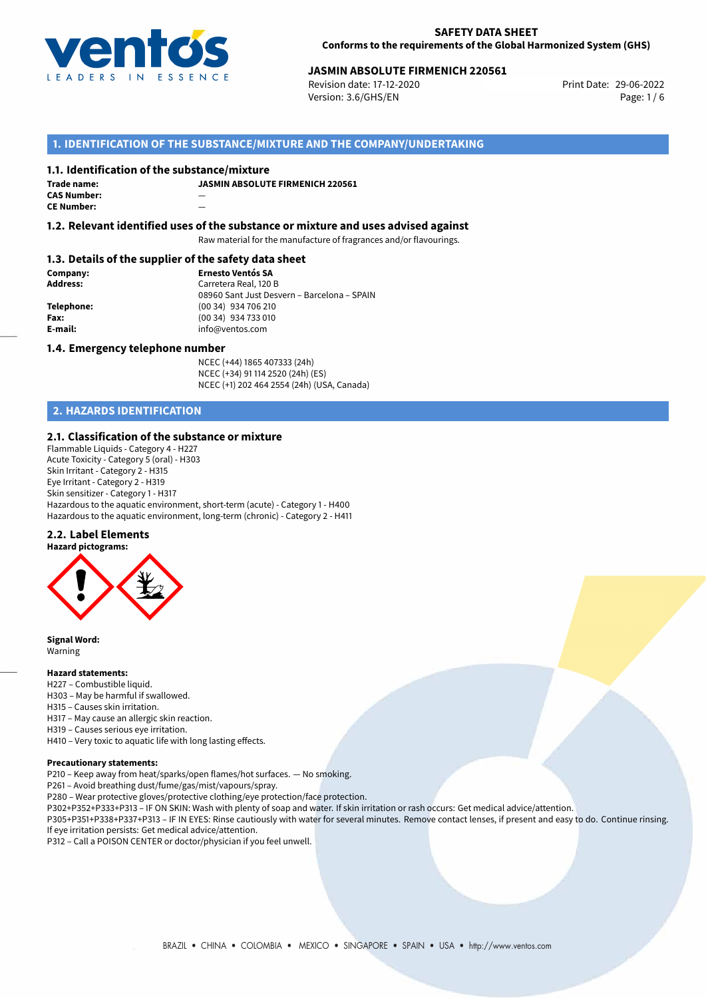

# **JASMIN ABSOLUTE FIRMENICH 220561**<br>
Revision date: 17-12-2020<br>
Print Date: 29-06-2022

Revision date: 17-12-2020 Version: 3.6/GHS/EN Page: 1/6

# **1. IDENTIFICATION OF THE SUBSTANCE/MIXTURE AND THE COMPANY/UNDERTAKING**

## **1.1. Identification of the substance/mixture**

| Trade name:        | JI |
|--------------------|----|
| <b>CAS Number:</b> |    |
| <b>CE Number:</b>  |    |

**JASMIN ABSOLUTE FIRMENICH 220561**

**1.2. Relevant identified uses of the substance or mixture and uses advised against**

Raw material for the manufacture of fragrances and/or flavourings.

## **1.3. Details of the supplier of the safety data sheet**

**Company: Ernesto Ventós SA Address:** Carretera Real, 120 B 08960 Sant Just Desvern – Barcelona – SPAIN **Telephone:** (00 34) 934 706 210 **Fax:** (00 34) 934 733 010<br> **E-mail:** example the info@ventos.com **E-mail:** info@ventos.com

## **1.4. Emergency telephone number**

NCEC (+44) 1865 407333 (24h) NCEC (+34) 91 114 2520 (24h) (ES) NCEC (+1) 202 464 2554 (24h) (USA, Canada)

# **2. HAZARDS IDENTIFICATION**

## **2.1. Classification of the substance or mixture**

Flammable Liquids - Category 4 - H227 Acute Toxicity - Category 5 (oral) - H303 Skin Irritant - Category 2 - H315 Eye Irritant - Category 2 - H319 Skin sensitizer - Category 1 - H317 Hazardous to the aquatic environment, short-term (acute) - Category 1 - H400 Hazardous to the aquatic environment, long-term (chronic) - Category 2 - H411

### **2.2. Label Elements**



**Signal Word:** Warning

## **Hazard statements:**

- H227 Combustible liquid.
- H303 May be harmful if swallowed.
- H315 Causes skin irritation.
- H317 May cause an allergic skin reaction.
- H319 Causes serious eye irritation.
- H410 Very toxic to aquatic life with long lasting effects.

#### **Precautionary statements:**

P210 – Keep away from heat/sparks/open flames/hot surfaces. — No smoking.

P261 – Avoid breathing dust/fume/gas/mist/vapours/spray.

P280 – Wear protective gloves/protective clothing/eye protection/face protection.

P302+P352+P333+P313 – IF ON SKIN: Wash with plenty of soap and water. If skin irritation or rash occurs: Get medical advice/attention.

P305+P351+P338+P337+P313 – IF IN EYES: Rinse cautiously with water for several minutes. Remove contact lenses, if present and easy to do. Continue rinsing. If eye irritation persists: Get medical advice/attention.

P312 – Call a POISON CENTER or doctor/physician if you feel unwell.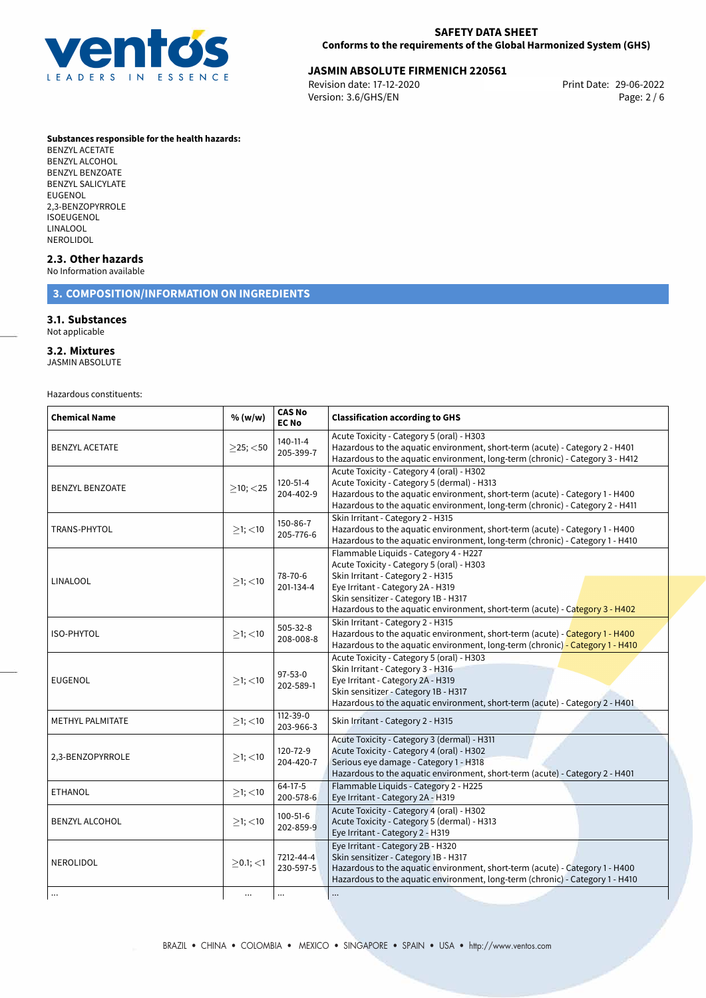

# **JASMIN ABSOLUTE FIRMENICH 220561**<br>Revision date: 17-12-2020 **Print Date: 29-06-2022**

Revision date: 17-12-2020 Version: 3.6/GHS/EN Page: 2 / 6

### **Substances responsible for the health hazards:**

BENZYL ACETATE BENZYL ALCOHOL BENZYL BENZOATE BENZYL SALICYLATE EUGENOL 2,3-BENZOPYRROLE ISOEUGENOL LINALOOL NEROLIDOL

## **2.3. Other hazards**

No Information available

# **3. COMPOSITION/INFORMATION ON INGREDIENTS**

# **3.1. Substances**

Not applicable

# **3.2. Mixtures**

JASMIN ABSOLUTE

Hazardous constituents:

| <b>Chemical Name</b>   | % (w/w)        | <b>CAS No</b><br><b>EC No</b> | <b>Classification according to GHS</b>                                                                                                                                                                                                                                               |  |
|------------------------|----------------|-------------------------------|--------------------------------------------------------------------------------------------------------------------------------------------------------------------------------------------------------------------------------------------------------------------------------------|--|
| <b>BENZYL ACETATE</b>  | $>$ 25; $<$ 50 | $140 - 11 - 4$<br>205-399-7   | Acute Toxicity - Category 5 (oral) - H303<br>Hazardous to the aquatic environment, short-term (acute) - Category 2 - H401<br>Hazardous to the aquatic environment, long-term (chronic) - Category 3 - H412                                                                           |  |
| <b>BENZYL BENZOATE</b> | $>10$ ; $<$ 25 | $120 - 51 - 4$<br>204-402-9   | Acute Toxicity - Category 4 (oral) - H302<br>Acute Toxicity - Category 5 (dermal) - H313<br>Hazardous to the aquatic environment, short-term (acute) - Category 1 - H400<br>Hazardous to the aquatic environment, long-term (chronic) - Category 2 - H411                            |  |
| TRANS-PHYTOL           | $\geq$ 1; <10  | 150-86-7<br>205-776-6         | Skin Irritant - Category 2 - H315<br>Hazardous to the aquatic environment, short-term (acute) - Category 1 - H400<br>Hazardous to the aquatic environment, long-term (chronic) - Category 1 - H410                                                                                   |  |
| <b>LINALOOL</b>        | $>1$ ; <10     | 78-70-6<br>201-134-4          | Flammable Liquids - Category 4 - H227<br>Acute Toxicity - Category 5 (oral) - H303<br>Skin Irritant - Category 2 - H315<br>Eye Irritant - Category 2A - H319<br>Skin sensitizer - Category 1B - H317<br>Hazardous to the aquatic environment, short-term (acute) - Category 3 - H402 |  |
| <b>ISO-PHYTOL</b>      | $>1$ ; <10     | 505-32-8<br>208-008-8         | Skin Irritant - Category 2 - H315<br>Hazardous to the aquatic environment, short-term (acute) - Category 1 - H400<br>Hazardous to the aquatic environment, long-term (chronic) - Category 1 - H410                                                                                   |  |
| <b>EUGENOL</b>         | $>1$ ; <10     | $97 - 53 - 0$<br>202-589-1    | Acute Toxicity - Category 5 (oral) - H303<br>Skin Irritant - Category 3 - H316<br>Eye Irritant - Category 2A - H319<br>Skin sensitizer - Category 1B - H317<br>Hazardous to the aquatic environment, short-term (acute) - Category 2 - H401                                          |  |
| METHYL PALMITATE       | $\geq$ 1; <10  | $112 - 39 - 0$<br>203-966-3   | Skin Irritant - Category 2 - H315                                                                                                                                                                                                                                                    |  |
| 2,3-BENZOPYRROLE       | $>1$ ; <10     | 120-72-9<br>204-420-7         | Acute Toxicity - Category 3 (dermal) - H311<br>Acute Toxicity - Category 4 (oral) - H302<br>Serious eye damage - Category 1 - H318<br>Hazardous to the aquatic environment, short-term (acute) - Category 2 - H401                                                                   |  |
| <b>ETHANOL</b>         | $\geq$ 1; <10  | $64-17-5$<br>200-578-6        | Flammable Liquids - Category 2 - H225<br>Eye Irritant - Category 2A - H319                                                                                                                                                                                                           |  |
| <b>BENZYL ALCOHOL</b>  | $\geq$ 1; <10  | 100-51-6<br>202-859-9         | Acute Toxicity - Category 4 (oral) - H302<br>Acute Toxicity - Category 5 (dermal) - H313<br>Eye Irritant - Category 2 - H319                                                                                                                                                         |  |
| NEROLIDOL              | $\geq$ 0.1; <1 | 7212-44-4<br>230-597-5        | Eye Irritant - Category 2B - H320<br>Skin sensitizer - Category 1B - H317<br>Hazardous to the aquatic environment, short-term (acute) - Category 1 - H400<br>Hazardous to the aquatic environment, long-term (chronic) - Category 1 - H410                                           |  |
|                        | $\cdots$       | $\ldots$                      | $\cdots$                                                                                                                                                                                                                                                                             |  |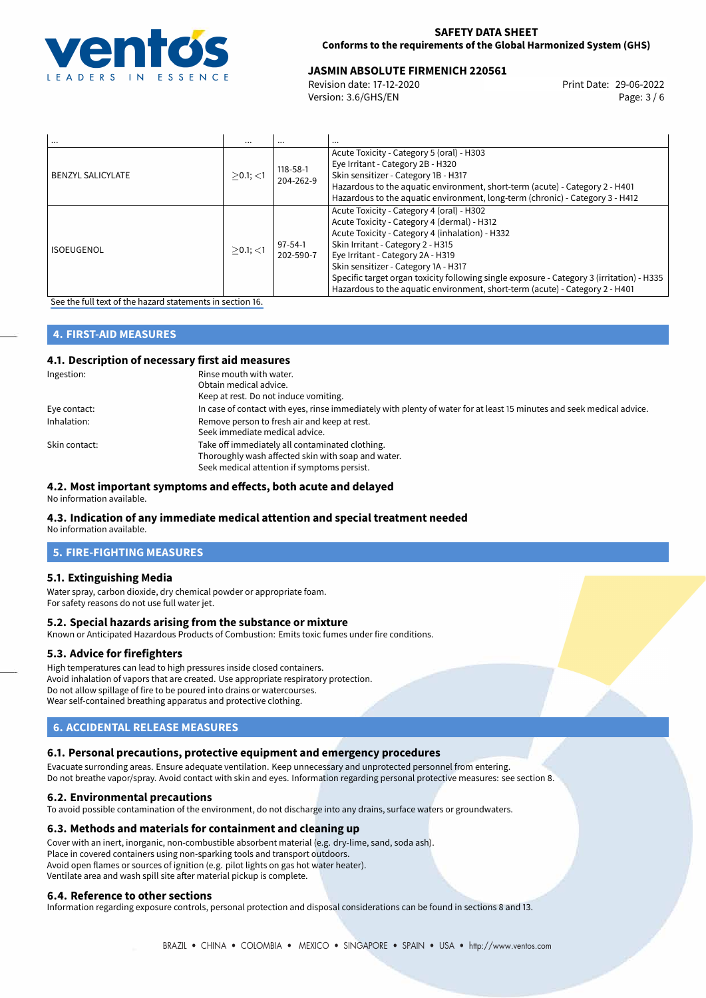

# **JASMIN ABSOLUTE FIRMENICH 220561**<br>Revision date: 17-12-2020<br>Print Date: 29-06-2022

Revision date: 17-12-2020 Version: 3.6/GHS/EN Page: 3 / 6

| $\cdots$                 | $\cdots$    |                             | $\cdots$                                                                                                                                                                                                                                                                                                                                                                                                                                   |
|--------------------------|-------------|-----------------------------|--------------------------------------------------------------------------------------------------------------------------------------------------------------------------------------------------------------------------------------------------------------------------------------------------------------------------------------------------------------------------------------------------------------------------------------------|
| <b>BENZYL SALICYLATE</b> | $>0.1$ ; <1 | $118 - 58 - 1$<br>204-262-9 | Acute Toxicity - Category 5 (oral) - H303<br>Eye Irritant - Category 2B - H320<br>Skin sensitizer - Category 1B - H317<br>Hazardous to the aquatic environment, short-term (acute) - Category 2 - H401<br>Hazardous to the aquatic environment, long-term (chronic) - Category 3 - H412                                                                                                                                                    |
| <b>ISOEUGENOL</b>        | $>0.1$ ; <1 | $97 - 54 - 1$<br>202-590-7  | Acute Toxicity - Category 4 (oral) - H302<br>Acute Toxicity - Category 4 (dermal) - H312<br>Acute Toxicity - Category 4 (inhalation) - H332<br>Skin Irritant - Category 2 - H315<br>Eye Irritant - Category 2A - H319<br>Skin sensitizer - Category 1A - H317<br>Specific target organ toxicity following single exposure - Category 3 (irritation) - H335<br>Hazardous to the aquatic environment, short-term (acute) - Category 2 - H401 |

[See the full text of the hazard statements in section 16.](#page-5-0)

# **4. FIRST-AID MEASURES**

# **4.1. Description of necessary first aid measures**

| Ingestion:    | Rinse mouth with water.<br>Obtain medical advice.<br>Keep at rest. Do not induce vomiting.                            |
|---------------|-----------------------------------------------------------------------------------------------------------------------|
|               |                                                                                                                       |
| Eye contact:  | In case of contact with eyes, rinse immediately with plenty of water for at least 15 minutes and seek medical advice. |
| Inhalation:   | Remove person to fresh air and keep at rest.                                                                          |
|               | Seek immediate medical advice.                                                                                        |
| Skin contact: | Take off immediately all contaminated clothing.                                                                       |
|               | Thoroughly wash affected skin with soap and water.                                                                    |
|               | Seek medical attention if symptoms persist.                                                                           |

## **4.2. Most important symptoms and effects, both acute and delayed**

No information available.

## **4.3. Indication of any immediate medical attention and special treatment needed**

No information available.

# **5. FIRE-FIGHTING MEASURES**

## **5.1. Extinguishing Media**

Water spray, carbon dioxide, dry chemical powder or appropriate foam. For safety reasons do not use full water jet.

## **5.2. Special hazards arising from the substance or mixture**

Known or Anticipated Hazardous Products of Combustion: Emits toxic fumes under fire conditions.

## **5.3. Advice for firefighters**

High temperatures can lead to high pressures inside closed containers. Avoid inhalation of vapors that are created. Use appropriate respiratory protection. Do not allow spillage of fire to be poured into drains or watercourses. Wear self-contained breathing apparatus and protective clothing.

# **6. ACCIDENTAL RELEASE MEASURES**

## **6.1. Personal precautions, protective equipment and emergency procedures**

Evacuate surronding areas. Ensure adequate ventilation. Keep unnecessary and unprotected personnel from entering. Do not breathe vapor/spray. Avoid contact with skin and eyes. Information regarding personal protective measures: see section 8.

## **6.2. Environmental precautions**

To avoid possible contamination of the environment, do not discharge into any drains, surface waters or groundwaters.

## **6.3. Methods and materials for containment and cleaning up**

Cover with an inert, inorganic, non-combustible absorbent material (e.g. dry-lime, sand, soda ash). Place in covered containers using non-sparking tools and transport outdoors. Avoid open flames or sources of ignition (e.g. pilot lights on gas hot water heater). Ventilate area and wash spill site after material pickup is complete.

## **6.4. Reference to other sections**

Information regarding exposure controls, personal protection and disposal considerations can be found in sections 8 and 13.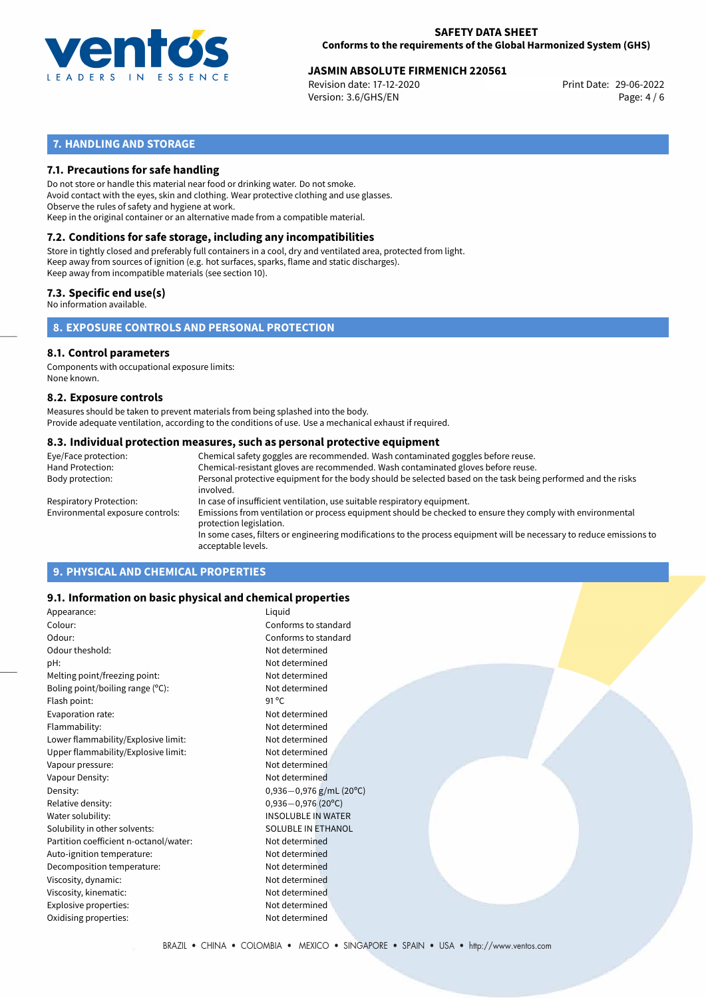

# **JASMIN ABSOLUTE FIRMENICH 220561**<br>Revision date: 17-12-2020<br>Print Date: 29-06-2022

Revision date: 17-12-2020 Version: 3.6/GHS/EN Page: 4 / 6

# **7. HANDLING AND STORAGE**

## **7.1. Precautions for safe handling**

Do not store or handle this material near food or drinking water. Do not smoke. Avoid contact with the eyes, skin and clothing. Wear protective clothing and use glasses. Observe the rules of safety and hygiene at work. Keep in the original container or an alternative made from a compatible material.

# **7.2. Conditions for safe storage, including any incompatibilities**

Store in tightly closed and preferably full containers in a cool, dry and ventilated area, protected from light. Keep away from sources of ignition (e.g. hot surfaces, sparks, flame and static discharges). Keep away from incompatible materials (see section 10).

# **7.3. Specific end use(s)**

No information available.

**8. EXPOSURE CONTROLS AND PERSONAL PROTECTION**

## **8.1. Control parameters**

Components with occupational exposure limits: None known.

### **8.2. Exposure controls**

Measures should be taken to prevent materials from being splashed into the body. Provide adequate ventilation, according to the conditions of use. Use a mechanical exhaust if required.

## **8.3. Individual protection measures, such as personal protective equipment**

| Eye/Face protection:             | Chemical safety goggles are recommended. Wash contaminated goggles before reuse.                                                            |
|----------------------------------|---------------------------------------------------------------------------------------------------------------------------------------------|
| Hand Protection:                 | Chemical-resistant gloves are recommended. Wash contaminated gloves before reuse.                                                           |
| Body protection:                 | Personal protective equipment for the body should be selected based on the task being performed and the risks<br>involved.                  |
| Respiratory Protection:          | In case of insufficient ventilation, use suitable respiratory equipment.                                                                    |
| Environmental exposure controls: | Emissions from ventilation or process equipment should be checked to ensure they comply with environmental<br>protection legislation.       |
|                                  | In some cases, filters or engineering modifications to the process equipment will be necessary to reduce emissions to<br>acceptable levels. |
|                                  |                                                                                                                                             |

# **9. PHYSICAL AND CHEMICAL PROPERTIES**

## **9.1. Information on basic physical and chemical properties**

| Appearance:                            | Liquid                    |
|----------------------------------------|---------------------------|
| Colour:                                | Conforms to standard      |
| Odour:                                 | Conforms to standard      |
| Odour theshold:                        | Not determined            |
| pH:                                    | Not determined            |
| Melting point/freezing point:          | Not determined            |
| Boling point/boiling range (°C):       | Not determined            |
| Flash point:                           | $91^{\circ}$ C            |
| Evaporation rate:                      | Not determined            |
| Flammability:                          | Not determined            |
| Lower flammability/Explosive limit:    | Not determined            |
| Upper flammability/Explosive limit:    | Not determined            |
| Vapour pressure:                       | Not determined            |
| Vapour Density:                        | Not determined            |
| Density:                               | $0,936-0,976$ g/mL (20°C) |
| Relative density:                      | $0,936 - 0,976$ (20°C)    |
| Water solubility:                      | <b>INSOLUBLE IN WATER</b> |
| Solubility in other solvents:          | <b>SOLUBLE IN ETHANOL</b> |
| Partition coefficient n-octanol/water: | Not determined            |
| Auto-ignition temperature:             | Not determined            |
| Decomposition temperature:             | Not determined            |
| Viscosity, dynamic:                    | Not determined            |
| Viscosity, kinematic:                  | Not determined            |
| Explosive properties:                  | Not determined            |
| Oxidising properties:                  | Not determined            |
|                                        |                           |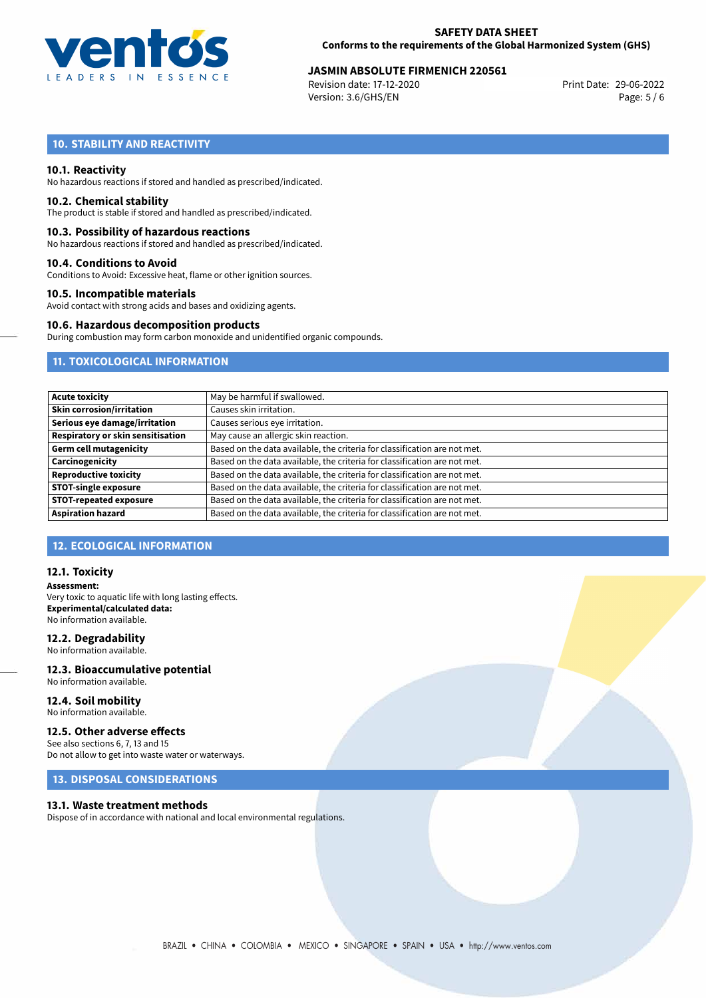

# **JASMIN ABSOLUTE FIRMENICH 220561**<br>Revision date: 17-12-2020<br>Print Date: 29-06-2022

Revision date: 17-12-2020 Version: 3.6/GHS/EN Page: 5 / 6

# **10. STABILITY AND REACTIVITY**

## **10.1. Reactivity**

No hazardous reactions if stored and handled as prescribed/indicated.

## **10.2. Chemical stability**

The product is stable if stored and handled as prescribed/indicated.

## **10.3. Possibility of hazardous reactions**

No hazardous reactions if stored and handled as prescribed/indicated.

### **10.4. Conditions to Avoid**

Conditions to Avoid: Excessive heat, flame or other ignition sources.

## **10.5. Incompatible materials**

Avoid contact with strong acids and bases and oxidizing agents.

## **10.6. Hazardous decomposition products**

During combustion may form carbon monoxide and unidentified organic compounds.

# **11. TOXICOLOGICAL INFORMATION**

| May be harmful if swallowed.                                              |
|---------------------------------------------------------------------------|
| Causes skin irritation.                                                   |
| Causes serious eye irritation.                                            |
| May cause an allergic skin reaction.                                      |
| Based on the data available, the criteria for classification are not met. |
| Based on the data available, the criteria for classification are not met. |
| Based on the data available, the criteria for classification are not met. |
| Based on the data available, the criteria for classification are not met. |
| Based on the data available, the criteria for classification are not met. |
| Based on the data available, the criteria for classification are not met. |
|                                                                           |

# **12. ECOLOGICAL INFORMATION**

## **12.1. Toxicity**

**Assessment:** Very toxic to aquatic life with long lasting effects. **Experimental/calculated data:** No information available.

## **12.2. Degradability**

No information available.

## **12.3. Bioaccumulative potential** No information available.

**12.4. Soil mobility** No information available.

# **12.5. Other adverse effects**

See also sections 6, 7, 13 and 15 Do not allow to get into waste water or waterways.

# **13. DISPOSAL CONSIDERATIONS**

## **13.1. Waste treatment methods**

Dispose of in accordance with national and local environmental regulations.